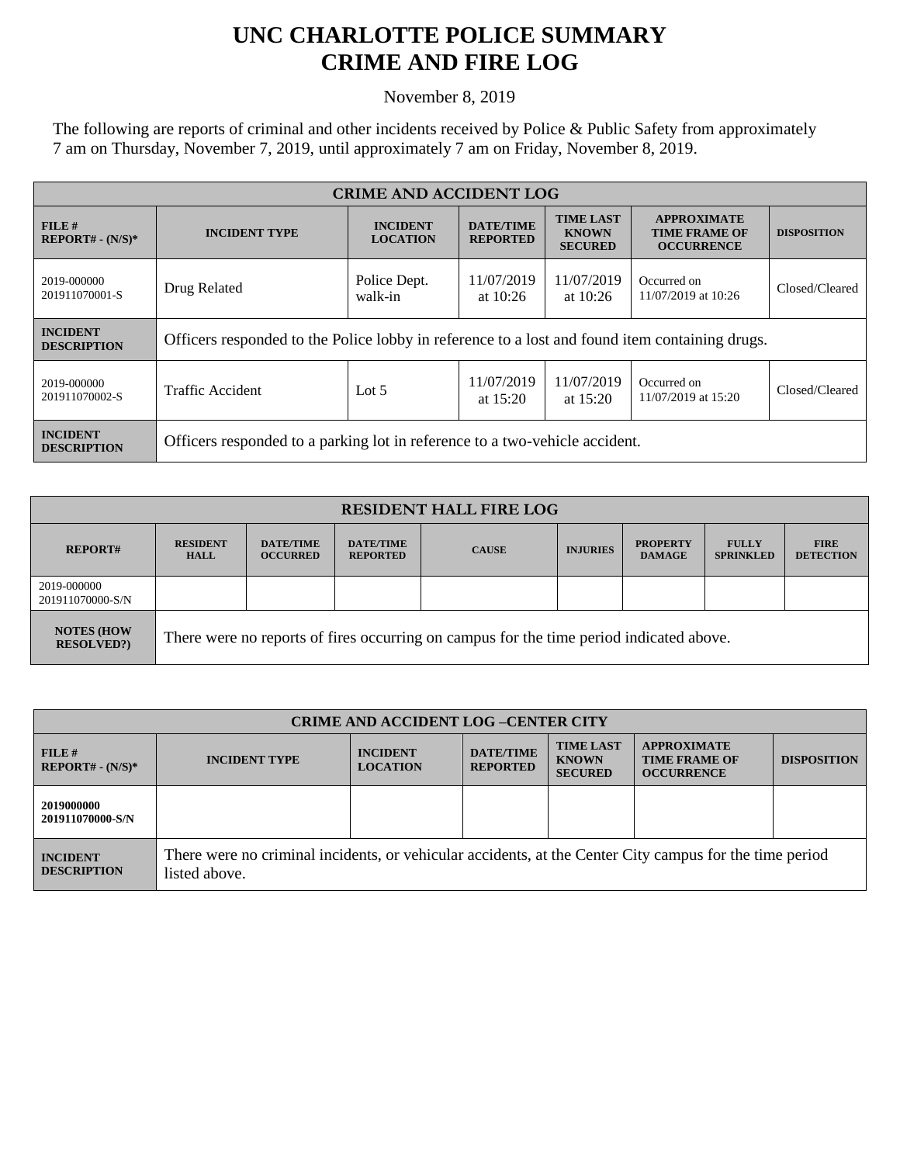## **UNC CHARLOTTE POLICE SUMMARY CRIME AND FIRE LOG**

November 8, 2019

The following are reports of criminal and other incidents received by Police & Public Safety from approximately 7 am on Thursday, November 7, 2019, until approximately 7 am on Friday, November 8, 2019.

| <b>CRIME AND ACCIDENT LOG</b>         |                                                                                                |                                                     |                                     |                                                    |                                                                 |                    |  |
|---------------------------------------|------------------------------------------------------------------------------------------------|-----------------------------------------------------|-------------------------------------|----------------------------------------------------|-----------------------------------------------------------------|--------------------|--|
| FILE#<br>$REPORT# - (N/S)*$           | <b>INCIDENT TYPE</b>                                                                           | <b>INCIDENT</b><br><b>LOCATION</b>                  | <b>DATE/TIME</b><br><b>REPORTED</b> | <b>TIME LAST</b><br><b>KNOWN</b><br><b>SECURED</b> | <b>APPROXIMATE</b><br><b>TIME FRAME OF</b><br><b>OCCURRENCE</b> | <b>DISPOSITION</b> |  |
| 2019-000000<br>201911070001-S         | Drug Related                                                                                   | Police Dept.<br>11/07/2019<br>walk-in<br>at $10:26$ |                                     | 11/07/2019<br>at $10:26$                           | Occurred on<br>11/07/2019 at 10:26                              | Closed/Cleared     |  |
| <b>INCIDENT</b><br><b>DESCRIPTION</b> | Officers responded to the Police lobby in reference to a lost and found item containing drugs. |                                                     |                                     |                                                    |                                                                 |                    |  |
| 2019-000000<br>201911070002-S         | Traffic Accident                                                                               | Lot $5$                                             | 11/07/2019<br>at $15:20$            | 11/07/2019<br>at $15:20$                           | Occurred on<br>11/07/2019 at 15:20                              | Closed/Cleared     |  |
| <b>INCIDENT</b><br><b>DESCRIPTION</b> | Officers responded to a parking lot in reference to a two-vehicle accident.                    |                                                     |                                     |                                                    |                                                                 |                    |  |

| <b>RESIDENT HALL FIRE LOG</b>         |                                                                                         |                                     |                                     |              |                 |                                  |                                  |                                 |
|---------------------------------------|-----------------------------------------------------------------------------------------|-------------------------------------|-------------------------------------|--------------|-----------------|----------------------------------|----------------------------------|---------------------------------|
| <b>REPORT#</b>                        | <b>RESIDENT</b><br><b>HALL</b>                                                          | <b>DATE/TIME</b><br><b>OCCURRED</b> | <b>DATE/TIME</b><br><b>REPORTED</b> | <b>CAUSE</b> | <b>INJURIES</b> | <b>PROPERTY</b><br><b>DAMAGE</b> | <b>FULLY</b><br><b>SPRINKLED</b> | <b>FIRE</b><br><b>DETECTION</b> |
| 2019-000000<br>201911070000-S/N       |                                                                                         |                                     |                                     |              |                 |                                  |                                  |                                 |
| <b>NOTES (HOW</b><br><b>RESOLVED?</b> | There were no reports of fires occurring on campus for the time period indicated above. |                                     |                                     |              |                 |                                  |                                  |                                 |

| <b>CRIME AND ACCIDENT LOG-CENTER CITY</b> |                                                                                                                          |                                    |                                     |                                                    |                                                                 |                    |
|-------------------------------------------|--------------------------------------------------------------------------------------------------------------------------|------------------------------------|-------------------------------------|----------------------------------------------------|-----------------------------------------------------------------|--------------------|
| FILE H<br>$REPORT# - (N/S)*$              | <b>INCIDENT TYPE</b>                                                                                                     | <b>INCIDENT</b><br><b>LOCATION</b> | <b>DATE/TIME</b><br><b>REPORTED</b> | <b>TIME LAST</b><br><b>KNOWN</b><br><b>SECURED</b> | <b>APPROXIMATE</b><br><b>TIME FRAME OF</b><br><b>OCCURRENCE</b> | <b>DISPOSITION</b> |
| 2019000000<br>201911070000-S/N            |                                                                                                                          |                                    |                                     |                                                    |                                                                 |                    |
| <b>INCIDENT</b><br><b>DESCRIPTION</b>     | There were no criminal incidents, or vehicular accidents, at the Center City campus for the time period<br>listed above. |                                    |                                     |                                                    |                                                                 |                    |